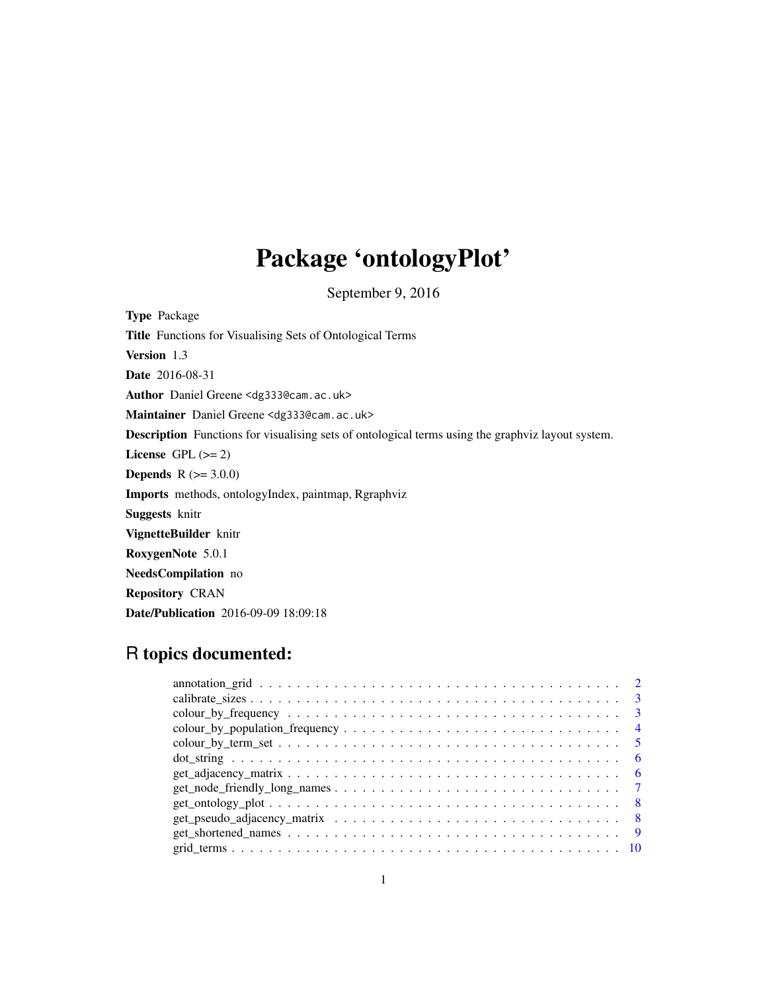## Package 'ontologyPlot'

September 9, 2016

Type Package Title Functions for Visualising Sets of Ontological Terms Version 1.3 Date 2016-08-31 Author Daniel Greene <dg333@cam.ac.uk> Maintainer Daniel Greene <dg333@cam.ac.uk> Description Functions for visualising sets of ontological terms using the graphviz layout system. License GPL  $(>= 2)$ **Depends**  $R$  ( $>= 3.0.0$ ) Imports methods, ontologyIndex, paintmap, Rgraphviz Suggests knitr VignetteBuilder knitr RoxygenNote 5.0.1 NeedsCompilation no Repository CRAN Date/Publication 2016-09-09 18:09:18

## R topics documented:

| $\overline{4}$                                                                                                                     |
|------------------------------------------------------------------------------------------------------------------------------------|
|                                                                                                                                    |
| - 6                                                                                                                                |
|                                                                                                                                    |
| $get\_node\_frically\_long\_names \dots \dots \dots \dots \dots \dots \dots \dots \dots \dots \dots \dots \dots \dots \dots \dots$ |
|                                                                                                                                    |
|                                                                                                                                    |
|                                                                                                                                    |
|                                                                                                                                    |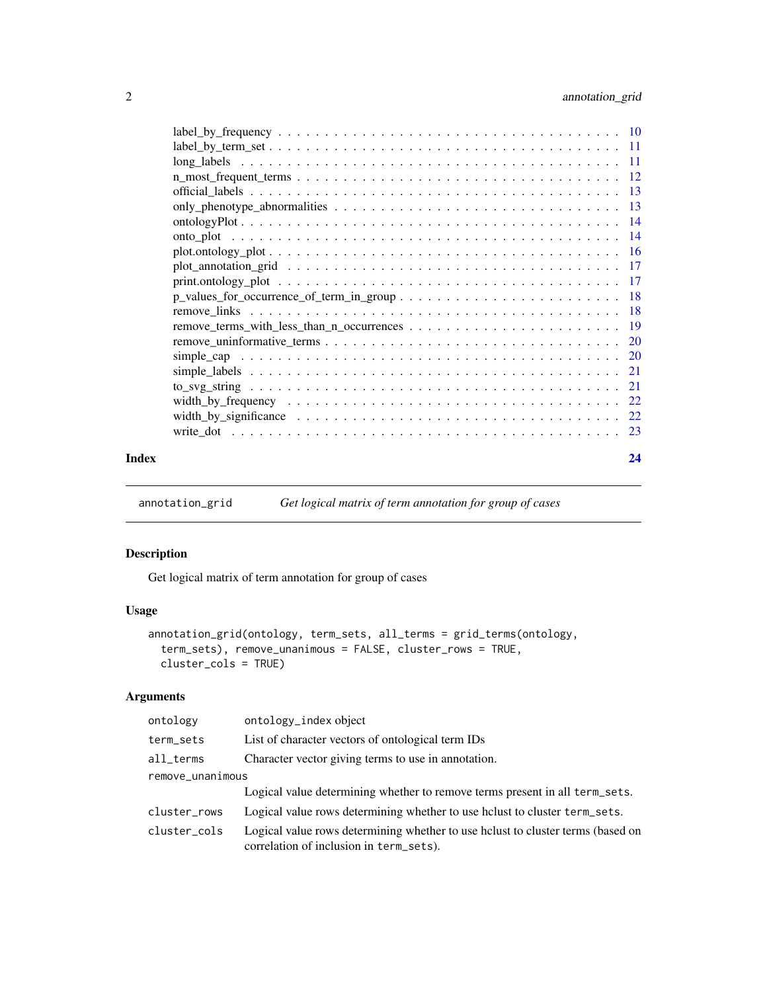## <span id="page-1-0"></span>2 annotation\_grid

|       | only phenotype abnormalities $\ldots \ldots \ldots \ldots \ldots \ldots \ldots \ldots \ldots \ldots \ldots \ldots$ 13 |    |
|-------|-----------------------------------------------------------------------------------------------------------------------|----|
|       |                                                                                                                       |    |
|       |                                                                                                                       |    |
|       |                                                                                                                       |    |
|       |                                                                                                                       |    |
|       |                                                                                                                       |    |
|       |                                                                                                                       |    |
|       |                                                                                                                       |    |
|       |                                                                                                                       |    |
|       |                                                                                                                       |    |
|       |                                                                                                                       |    |
|       |                                                                                                                       |    |
|       |                                                                                                                       |    |
|       |                                                                                                                       |    |
|       | width_by_significance $\ldots \ldots \ldots \ldots \ldots \ldots \ldots \ldots \ldots \ldots \ldots \ldots \ldots 22$ |    |
|       |                                                                                                                       |    |
| Index |                                                                                                                       | 24 |

<span id="page-1-1"></span>annotation\_grid *Get logical matrix of term annotation for group of cases*

## Description

Get logical matrix of term annotation for group of cases

## Usage

```
annotation_grid(ontology, term_sets, all_terms = grid_terms(ontology,
  term_sets), remove_unanimous = FALSE, cluster_rows = TRUE,
 cluster_cols = TRUE)
```

| ontology         | ontology_index object                                                                                                      |  |
|------------------|----------------------------------------------------------------------------------------------------------------------------|--|
| term_sets        | List of character vectors of ontological term IDs                                                                          |  |
| all_terms        | Character vector giving terms to use in annotation.                                                                        |  |
| remove_unanimous |                                                                                                                            |  |
|                  | Logical value determining whether to remove terms present in all term_sets.                                                |  |
| cluster_rows     | Logical value rows determining whether to use holyst to cluster term_sets.                                                 |  |
| cluster_cols     | Logical value rows determining whether to use holust to cluster terms (based on<br>correlation of inclusion in term_sets). |  |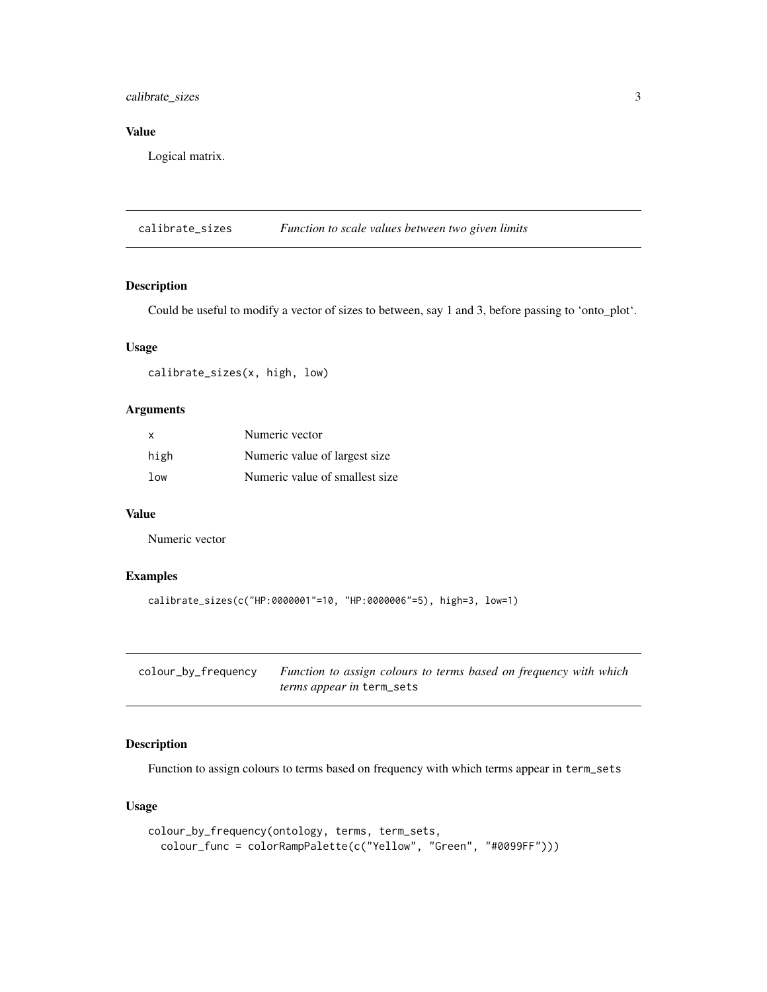<span id="page-2-0"></span>calibrate\_sizes 3

## Value

Logical matrix.

calibrate\_sizes *Function to scale values between two given limits*

## Description

Could be useful to modify a vector of sizes to between, say 1 and 3, before passing to 'onto\_plot'.

#### Usage

calibrate\_sizes(x, high, low)

## Arguments

| $\times$ | Numeric vector                 |
|----------|--------------------------------|
| high     | Numeric value of largest size. |
| 1ow      | Numeric value of smallest size |

#### Value

Numeric vector

## Examples

```
calibrate_sizes(c("HP:0000001"=10, "HP:0000006"=5), high=3, low=1)
```
<span id="page-2-1"></span>

| colour_by_frequency | Function to assign colours to terms based on frequency with which |  |
|---------------------|-------------------------------------------------------------------|--|
|                     | <i>terms appear in</i> term_sets                                  |  |

## Description

Function to assign colours to terms based on frequency with which terms appear in term\_sets

## Usage

```
colour_by_frequency(ontology, terms, term_sets,
  colour_func = colorRampPalette(c("Yellow", "Green", "#0099FF")))
```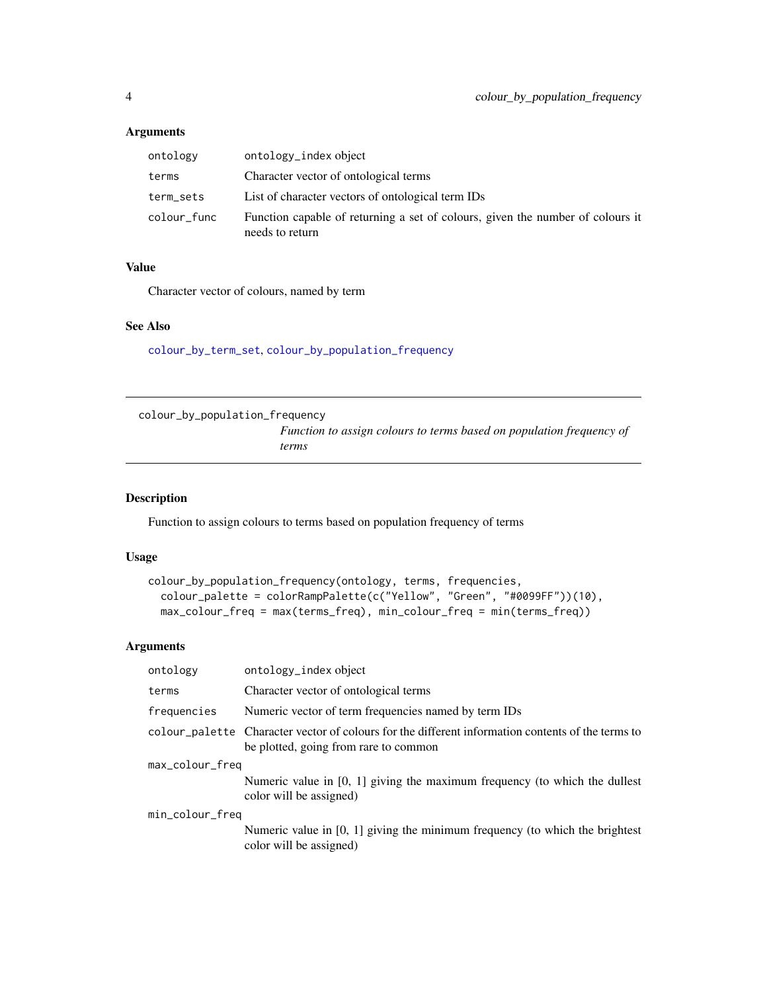## <span id="page-3-0"></span>Arguments

| ontology    | ontology_index object                                                                             |
|-------------|---------------------------------------------------------------------------------------------------|
| terms       | Character vector of ontological terms                                                             |
| term_sets   | List of character vectors of ontological term IDs                                                 |
| colour_func | Function capable of returning a set of colours, given the number of colours it<br>needs to return |

#### Value

Character vector of colours, named by term

## See Also

[colour\\_by\\_term\\_set](#page-4-1), [colour\\_by\\_population\\_frequency](#page-3-1)

<span id="page-3-1"></span>colour\_by\_population\_frequency

*Function to assign colours to terms based on population frequency of terms*

#### Description

Function to assign colours to terms based on population frequency of terms

## Usage

```
colour_by_population_frequency(ontology, terms, frequencies,
 colour_palette = colorRampPalette(c("Yellow", "Green", "#0099FF"))(10),
 max_colour_freq = max(terms_freq), min_colour_freq = min(terms_freq))
```

| ontology        | ontology_index object                                                                                                                      |
|-----------------|--------------------------------------------------------------------------------------------------------------------------------------------|
| terms           | Character vector of ontological terms                                                                                                      |
| frequencies     | Numeric vector of term frequencies named by term IDs                                                                                       |
|                 | colour_palette Character vector of colours for the different information contents of the terms to<br>be plotted, going from rare to common |
| max_colour_freq |                                                                                                                                            |
|                 | Numeric value in $[0, 1]$ giving the maximum frequency (to which the dullest<br>color will be assigned)                                    |
| min_colour_freq |                                                                                                                                            |
|                 | Numeric value in $[0, 1]$ giving the minimum frequency (to which the brightest<br>color will be assigned)                                  |
|                 |                                                                                                                                            |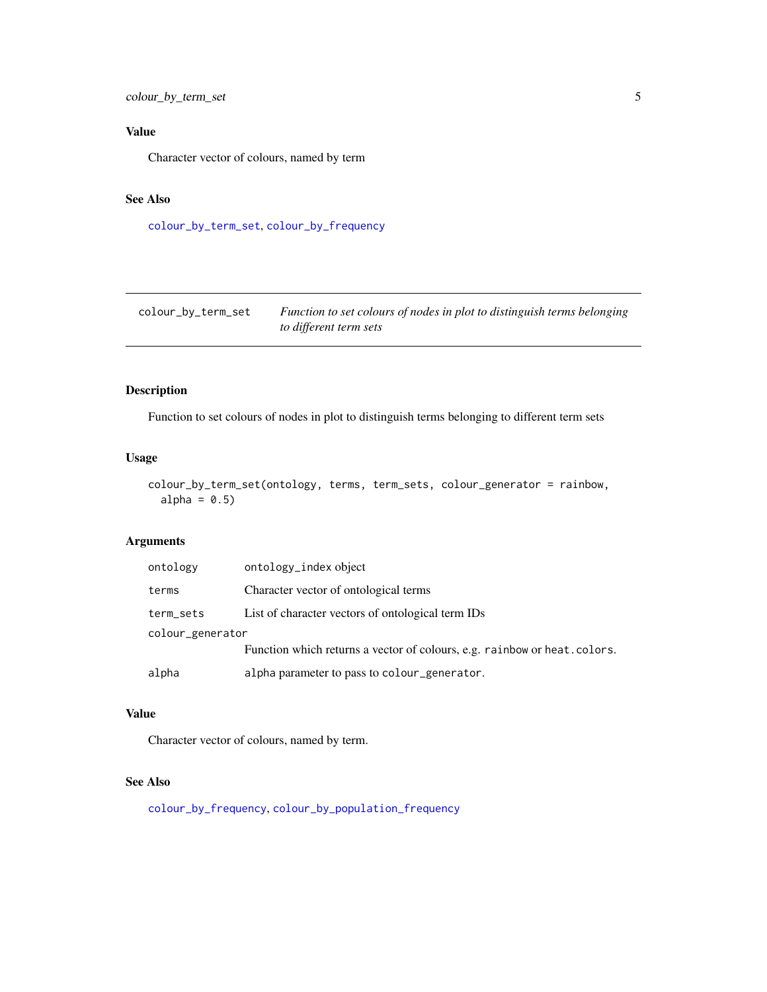## <span id="page-4-0"></span>Value

Character vector of colours, named by term

## See Also

[colour\\_by\\_term\\_set](#page-4-1), [colour\\_by\\_frequency](#page-2-1)

<span id="page-4-1"></span>colour\_by\_term\_set *Function to set colours of nodes in plot to distinguish terms belonging to different term sets*

## Description

Function to set colours of nodes in plot to distinguish terms belonging to different term sets

## Usage

```
colour_by_term_set(ontology, terms, term_sets, colour_generator = rainbow,
  alpha = 0.5)
```
## Arguments

| ontology         | ontology_index object                                                    |
|------------------|--------------------------------------------------------------------------|
| terms            | Character vector of ontological terms                                    |
| term_sets        | List of character vectors of ontological term IDs                        |
| colour_generator |                                                                          |
|                  | Function which returns a vector of colours, e.g. rainbow or heat.colors. |
| alpha            | alpha parameter to pass to colour_generator.                             |

#### Value

Character vector of colours, named by term.

#### See Also

[colour\\_by\\_frequency](#page-2-1), [colour\\_by\\_population\\_frequency](#page-3-1)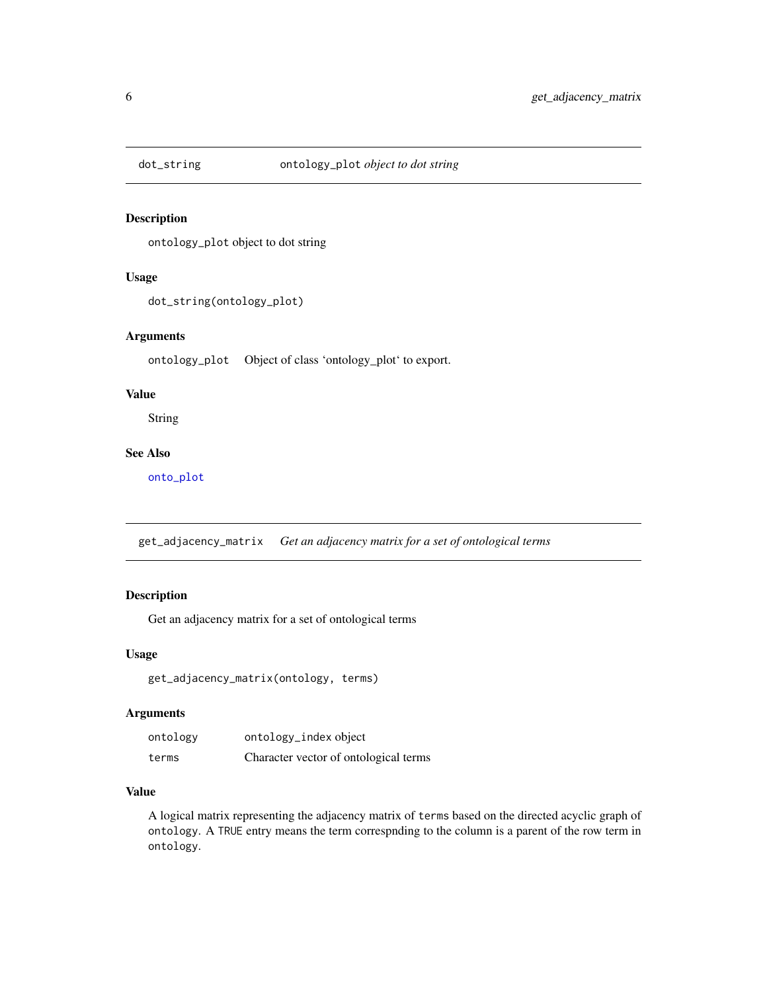<span id="page-5-2"></span><span id="page-5-0"></span>

## Description

ontology\_plot object to dot string

## Usage

```
dot_string(ontology_plot)
```
#### Arguments

ontology\_plot Object of class 'ontology\_plot' to export.

## Value

String

## See Also

[onto\\_plot](#page-13-1)

<span id="page-5-1"></span>get\_adjacency\_matrix *Get an adjacency matrix for a set of ontological terms*

## Description

Get an adjacency matrix for a set of ontological terms

## Usage

```
get_adjacency_matrix(ontology, terms)
```
## Arguments

| ontology | ontology_index object                 |
|----------|---------------------------------------|
| terms    | Character vector of ontological terms |

## Value

A logical matrix representing the adjacency matrix of terms based on the directed acyclic graph of ontology. A TRUE entry means the term correspnding to the column is a parent of the row term in ontology.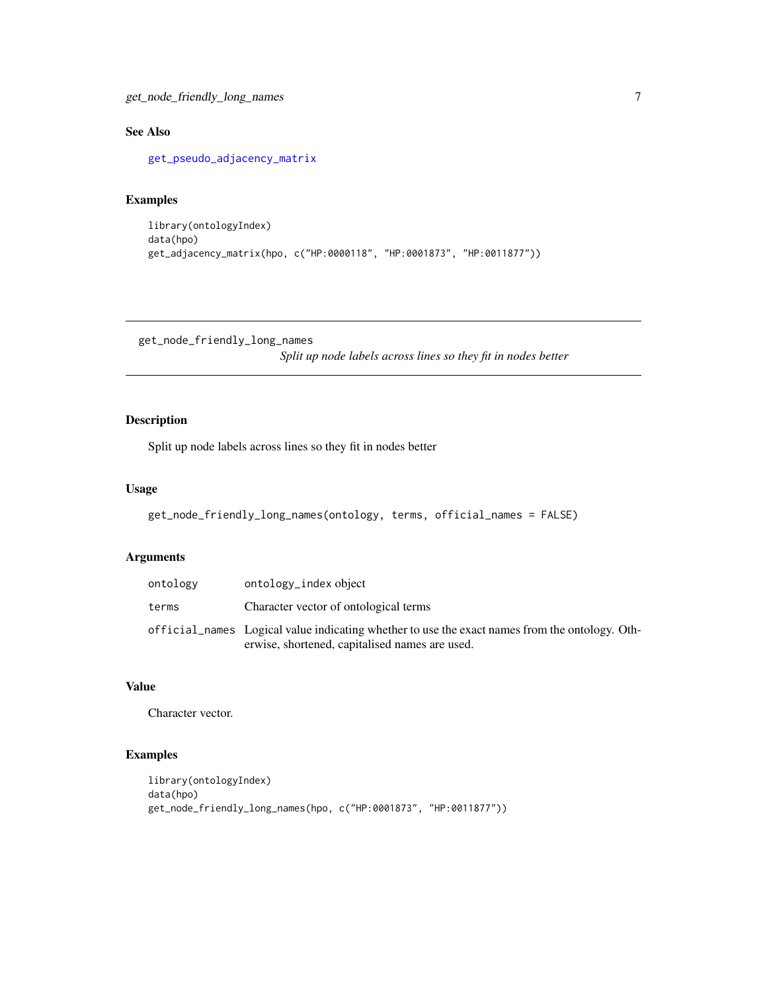<span id="page-6-0"></span>get\_node\_friendly\_long\_names 7

## See Also

[get\\_pseudo\\_adjacency\\_matrix](#page-7-1)

## Examples

```
library(ontologyIndex)
data(hpo)
get_adjacency_matrix(hpo, c("HP:0000118", "HP:0001873", "HP:0011877"))
```
get\_node\_friendly\_long\_names

*Split up node labels across lines so they fit in nodes better*

## Description

Split up node labels across lines so they fit in nodes better

#### Usage

```
get_node_friendly_long_names(ontology, terms, official_names = FALSE)
```
## Arguments

| ontology | ontology_index object                                                                                                                            |
|----------|--------------------------------------------------------------------------------------------------------------------------------------------------|
| terms    | Character vector of ontological terms                                                                                                            |
|          | official names Logical value indicating whether to use the exact names from the ontology. Oth-<br>erwise, shortened, capitalised names are used. |

## Value

Character vector.

## Examples

```
library(ontologyIndex)
data(hpo)
get_node_friendly_long_names(hpo, c("HP:0001873", "HP:0011877"))
```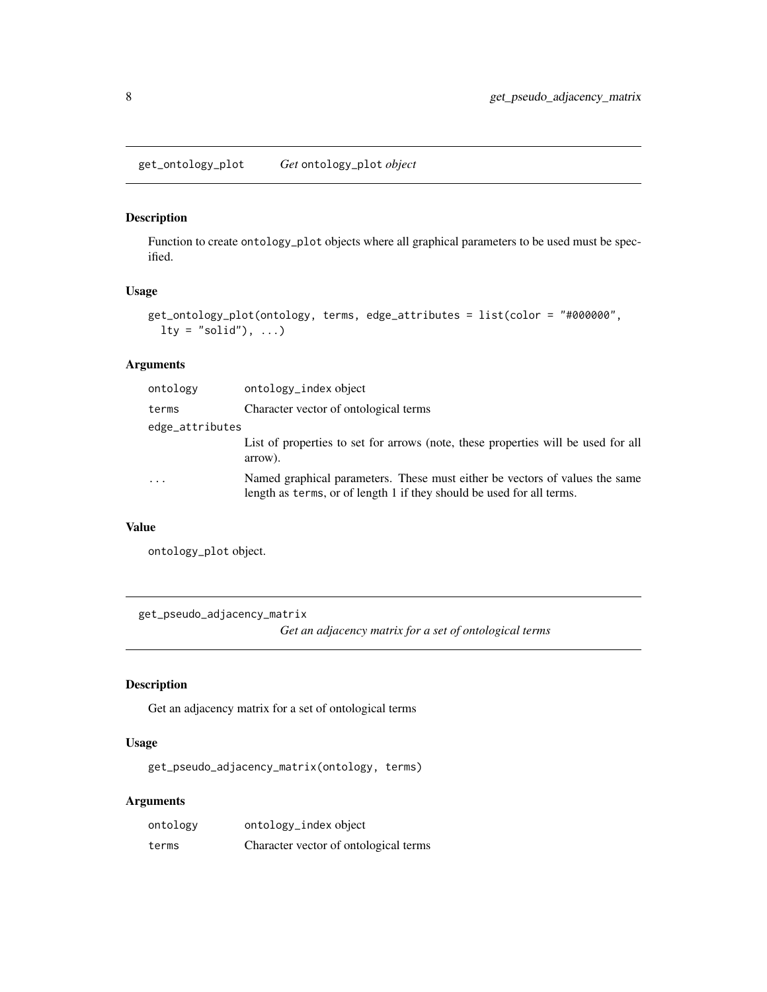## <span id="page-7-2"></span><span id="page-7-0"></span>Description

Function to create ontology\_plot objects where all graphical parameters to be used must be specified.

## Usage

```
get_ontology_plot(ontology, terms, edge_attributes = list(color = "#000000",
  lty = "solid"), \ldots)
```
## Arguments

| ontology        | ontology_index object                                                                                                                                |
|-----------------|------------------------------------------------------------------------------------------------------------------------------------------------------|
| terms           | Character vector of ontological terms                                                                                                                |
| edge_attributes |                                                                                                                                                      |
|                 | List of properties to set for arrows (note, these properties will be used for all<br>arrow).                                                         |
| .               | Named graphical parameters. These must either be vectors of values the same<br>length as terms, or of length 1 if they should be used for all terms. |

## Value

ontology\_plot object.

<span id="page-7-1"></span>get\_pseudo\_adjacency\_matrix

*Get an adjacency matrix for a set of ontological terms*

## Description

Get an adjacency matrix for a set of ontological terms

## Usage

get\_pseudo\_adjacency\_matrix(ontology, terms)

| ontology | ontology_index object                 |
|----------|---------------------------------------|
| terms    | Character vector of ontological terms |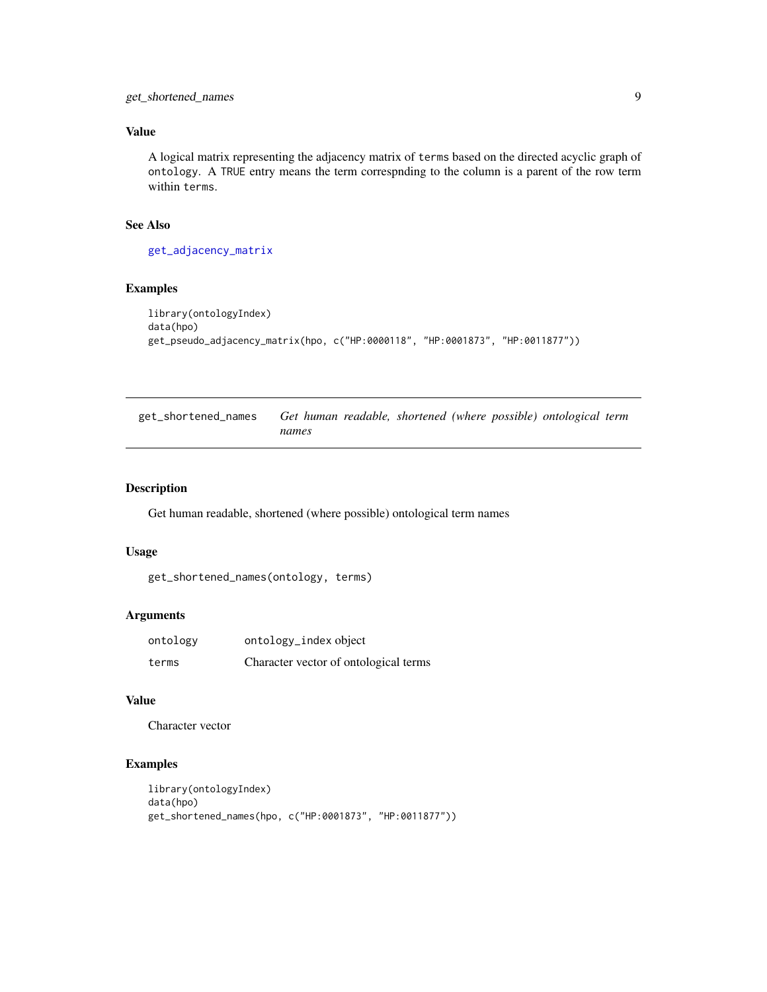## <span id="page-8-0"></span>Value

A logical matrix representing the adjacency matrix of terms based on the directed acyclic graph of ontology. A TRUE entry means the term correspnding to the column is a parent of the row term within terms.

#### See Also

[get\\_adjacency\\_matrix](#page-5-1)

## Examples

```
library(ontologyIndex)
data(hpo)
get_pseudo_adjacency_matrix(hpo, c("HP:0000118", "HP:0001873", "HP:0011877"))
```
get\_shortened\_names *Get human readable, shortened (where possible) ontological term names*

#### Description

Get human readable, shortened (where possible) ontological term names

#### Usage

```
get_shortened_names(ontology, terms)
```
#### Arguments

| ontology | ontology_index object                 |
|----------|---------------------------------------|
| terms    | Character vector of ontological terms |

#### Value

Character vector

## Examples

```
library(ontologyIndex)
data(hpo)
get_shortened_names(hpo, c("HP:0001873", "HP:0011877"))
```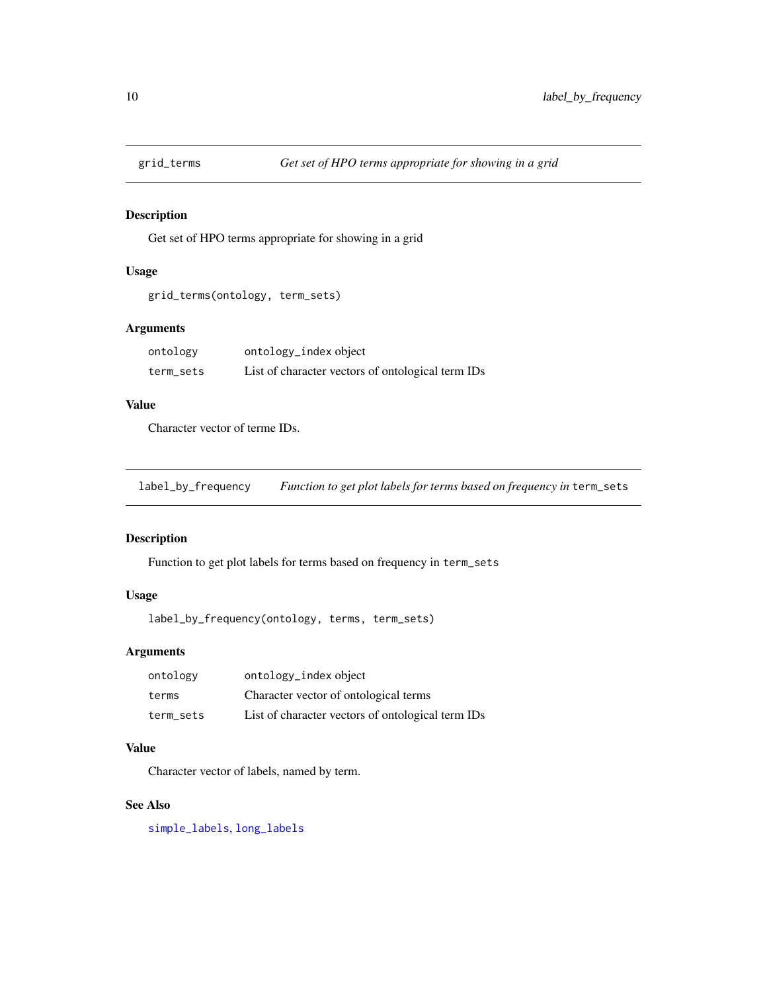<span id="page-9-0"></span>

## Description

Get set of HPO terms appropriate for showing in a grid

## Usage

```
grid_terms(ontology, term_sets)
```
## Arguments

| ontology  | ontology_index object                             |
|-----------|---------------------------------------------------|
| term sets | List of character vectors of ontological term IDs |

#### Value

Character vector of terme IDs.

<span id="page-9-1"></span>label\_by\_frequency *Function to get plot labels for terms based on frequency in* term\_sets

#### Description

Function to get plot labels for terms based on frequency in term\_sets

## Usage

label\_by\_frequency(ontology, terms, term\_sets)

## Arguments

| ontology  | ontology_index object                             |
|-----------|---------------------------------------------------|
| terms     | Character vector of ontological terms             |
| term sets | List of character vectors of ontological term IDs |

## Value

Character vector of labels, named by term.

## See Also

[simple\\_labels](#page-20-1), [long\\_labels](#page-10-1)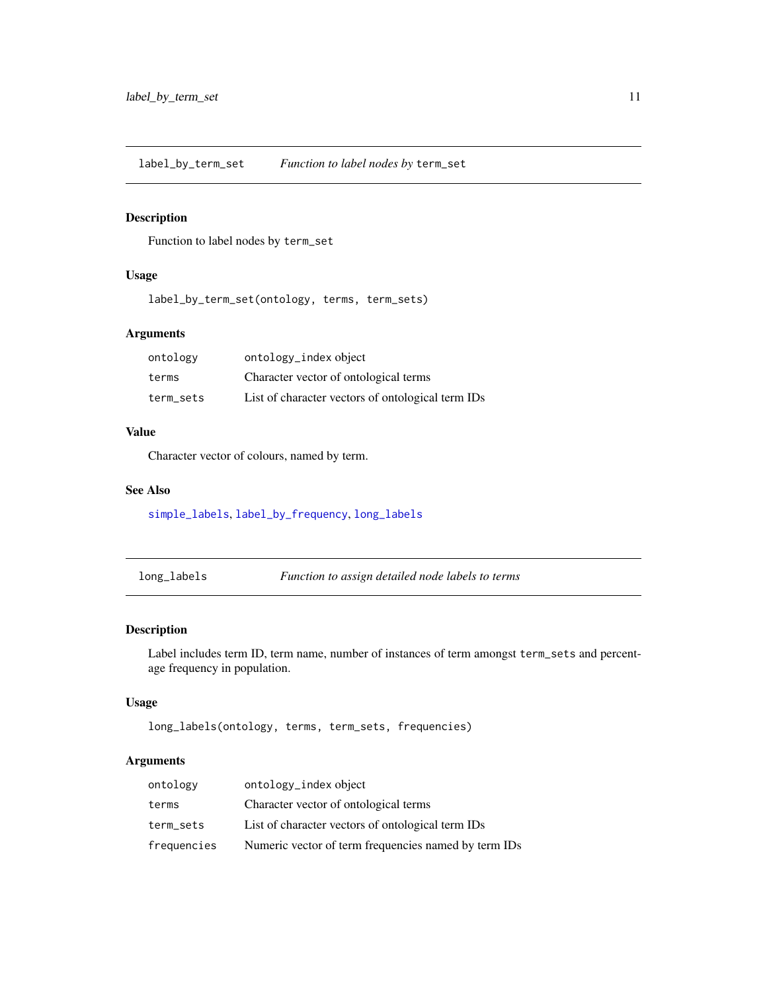<span id="page-10-2"></span><span id="page-10-0"></span>label\_by\_term\_set *Function to label nodes by* term\_set

## Description

Function to label nodes by term\_set

## Usage

label\_by\_term\_set(ontology, terms, term\_sets)

## Arguments

| ontology  | ontology_index object                             |
|-----------|---------------------------------------------------|
| terms     | Character vector of ontological terms             |
| term sets | List of character vectors of ontological term IDs |

## Value

Character vector of colours, named by term.

#### See Also

[simple\\_labels](#page-20-1), [label\\_by\\_frequency](#page-9-1), [long\\_labels](#page-10-1)

<span id="page-10-1"></span>long\_labels *Function to assign detailed node labels to terms*

### Description

Label includes term ID, term name, number of instances of term amongst term\_sets and percentage frequency in population.

## Usage

```
long_labels(ontology, terms, term_sets, frequencies)
```

| ontology    | ontology_index object                                |
|-------------|------------------------------------------------------|
| terms       | Character vector of ontological terms                |
| term sets   | List of character vectors of ontological term IDs    |
| frequencies | Numeric vector of term frequencies named by term IDs |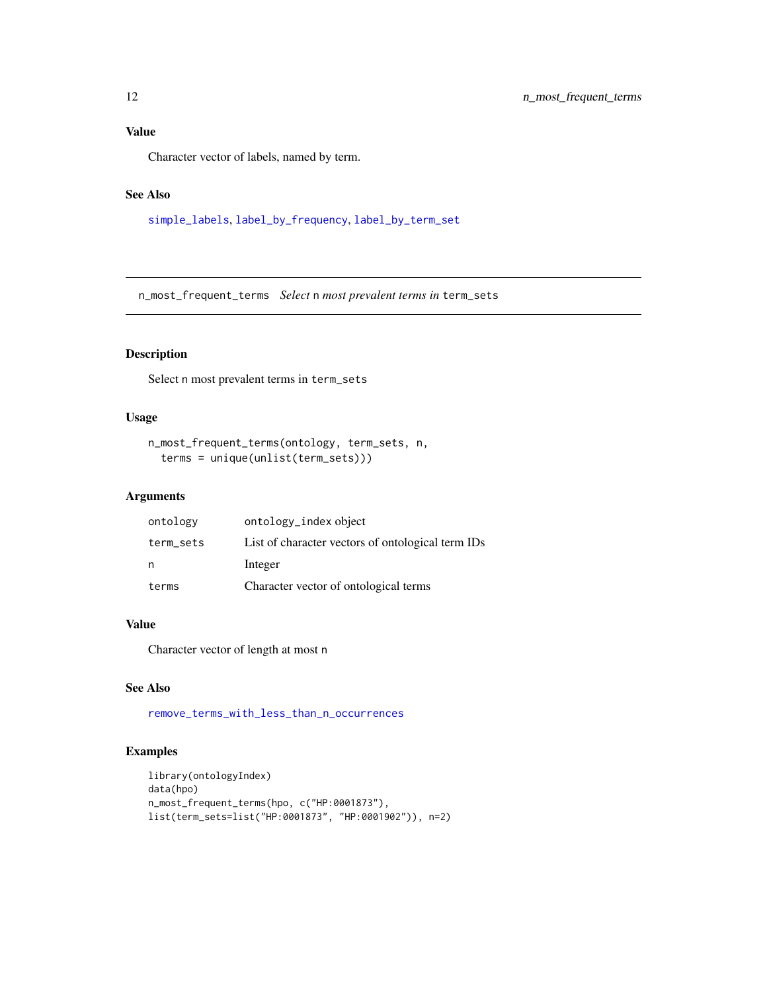#### <span id="page-11-0"></span>Value

Character vector of labels, named by term.

#### See Also

[simple\\_labels](#page-20-1), [label\\_by\\_frequency](#page-9-1), [label\\_by\\_term\\_set](#page-10-2)

<span id="page-11-1"></span>n\_most\_frequent\_terms *Select* n *most prevalent terms in* term\_sets

## Description

Select n most prevalent terms in term\_sets

## Usage

```
n_most_frequent_terms(ontology, term_sets, n,
  terms = unique(unlist(term_sets)))
```
## Arguments

| ontology  | ontology_index object                             |
|-----------|---------------------------------------------------|
| term_sets | List of character vectors of ontological term IDs |
| n         | Integer                                           |
| terms     | Character vector of ontological terms             |

#### Value

Character vector of length at most n

## See Also

[remove\\_terms\\_with\\_less\\_than\\_n\\_occurrences](#page-18-1)

## Examples

```
library(ontologyIndex)
data(hpo)
n_most_frequent_terms(hpo, c("HP:0001873"),
list(term_sets=list("HP:0001873", "HP:0001902")), n=2)
```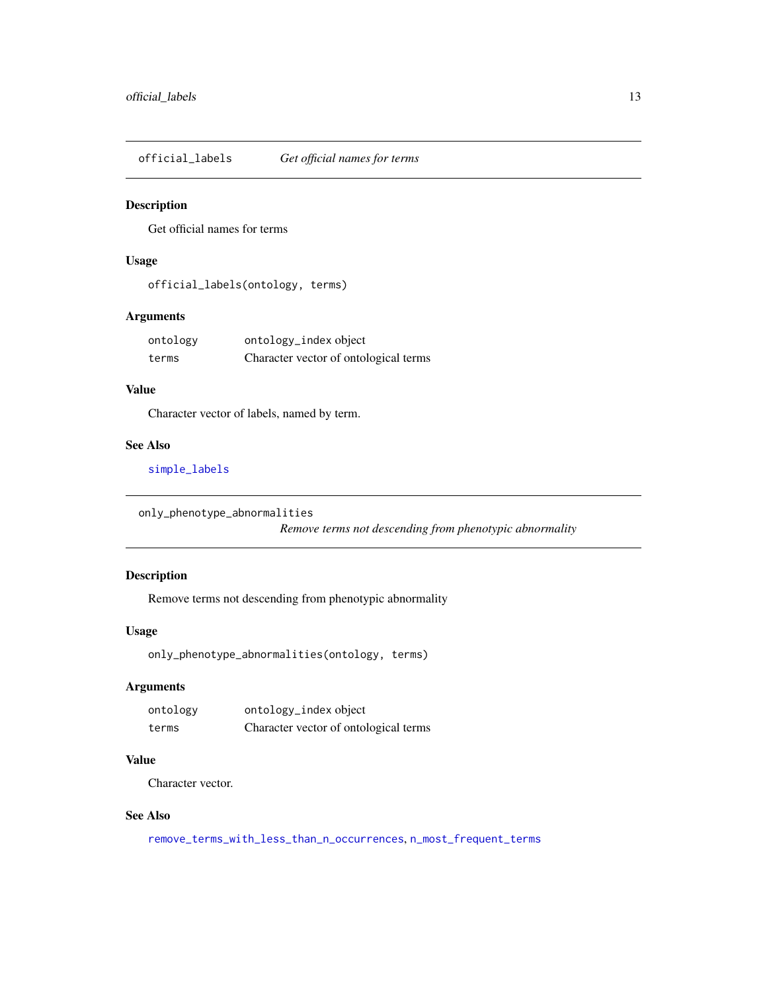<span id="page-12-1"></span><span id="page-12-0"></span>official\_labels *Get official names for terms*

#### Description

Get official names for terms

## Usage

official\_labels(ontology, terms)

## Arguments

| ontology | ontology_index object                 |
|----------|---------------------------------------|
| terms    | Character vector of ontological terms |

#### Value

Character vector of labels, named by term.

## See Also

[simple\\_labels](#page-20-1)

```
only_phenotype_abnormalities
```
*Remove terms not descending from phenotypic abnormality*

## Description

Remove terms not descending from phenotypic abnormality

#### Usage

```
only_phenotype_abnormalities(ontology, terms)
```
## Arguments

| ontology | ontology_index object                 |
|----------|---------------------------------------|
| terms    | Character vector of ontological terms |

## Value

Character vector.

### See Also

[remove\\_terms\\_with\\_less\\_than\\_n\\_occurrences](#page-18-1), [n\\_most\\_frequent\\_terms](#page-11-1)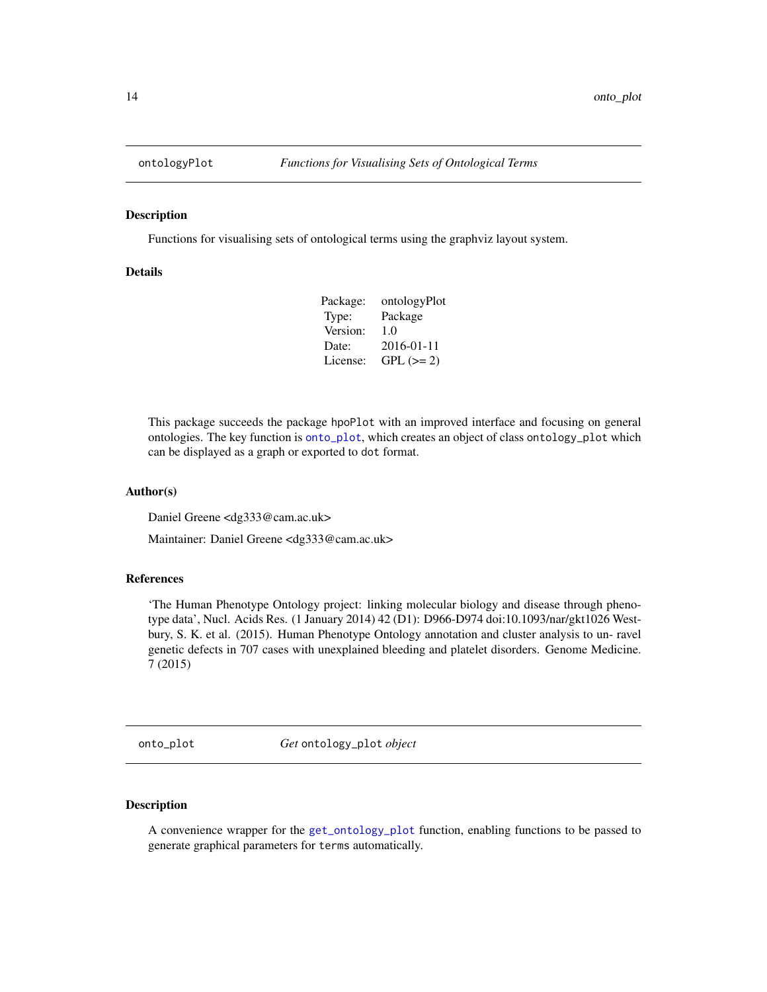<span id="page-13-0"></span>

#### Description

Functions for visualising sets of ontological terms using the graphviz layout system.

#### Details

| Package: | ontologyPlot |
|----------|--------------|
| Type:    | Package      |
| Version: | 1.0          |
| Date:    | 2016-01-11   |
| License: | $GPL (= 2)$  |

This package succeeds the package hpoPlot with an improved interface and focusing on general ontologies. The key function is [onto\\_plot](#page-13-1), which creates an object of class ontology\_plot which can be displayed as a graph or exported to dot format.

#### Author(s)

Daniel Greene <dg333@cam.ac.uk>

Maintainer: Daniel Greene <dg333@cam.ac.uk>

## References

'The Human Phenotype Ontology project: linking molecular biology and disease through phenotype data', Nucl. Acids Res. (1 January 2014) 42 (D1): D966-D974 doi:10.1093/nar/gkt1026 Westbury, S. K. et al. (2015). Human Phenotype Ontology annotation and cluster analysis to un- ravel genetic defects in 707 cases with unexplained bleeding and platelet disorders. Genome Medicine. 7 (2015)

<span id="page-13-1"></span>onto\_plot *Get* ontology\_plot *object*

## Description

A convenience wrapper for the [get\\_ontology\\_plot](#page-7-2) function, enabling functions to be passed to generate graphical parameters for terms automatically.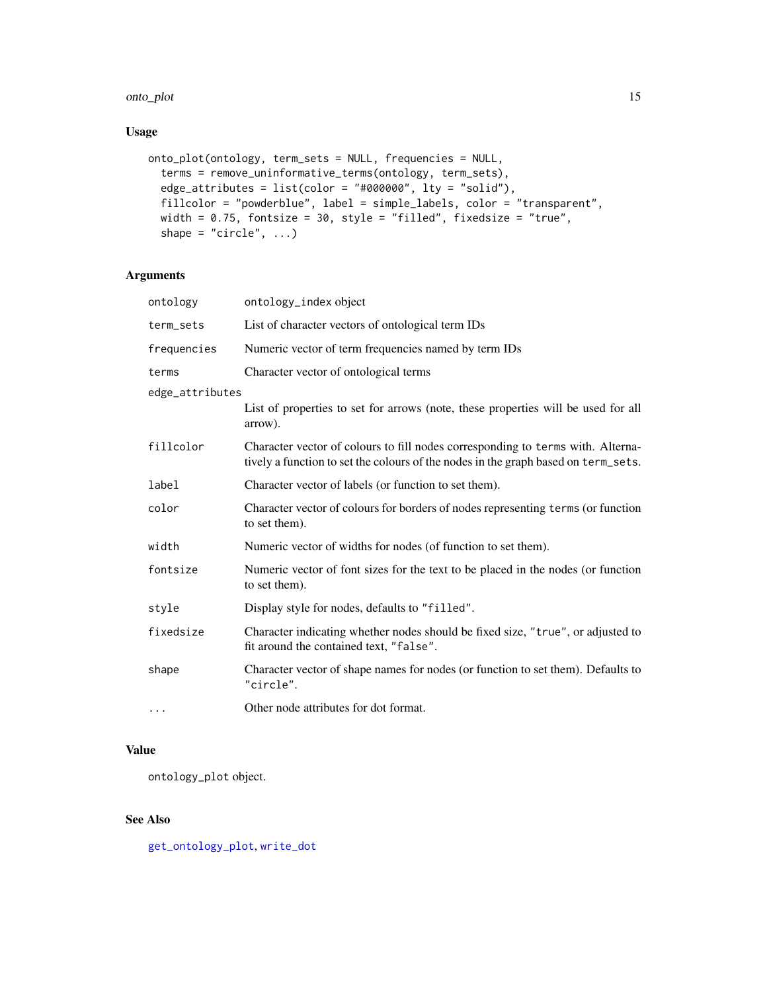#### <span id="page-14-0"></span>onto\_plot 15

## Usage

```
onto_plot(ontology, term_sets = NULL, frequencies = NULL,
  terms = remove_uninformative_terms(ontology, term_sets),
  edge_attributes = list(color = "#000000", lty = "solid"),
 fillcolor = "powderblue", label = simple_labels, color = "transparent",
 width = 0.75, fontsize = 30, style = "filled", fixedsize = "true",
  shape = "circle", ...)
```
## Arguments

| ontology        | ontology_index object                                                                                                                                                 |
|-----------------|-----------------------------------------------------------------------------------------------------------------------------------------------------------------------|
| term_sets       | List of character vectors of ontological term IDs                                                                                                                     |
| frequencies     | Numeric vector of term frequencies named by term IDs                                                                                                                  |
| terms           | Character vector of ontological terms                                                                                                                                 |
| edge_attributes |                                                                                                                                                                       |
|                 | List of properties to set for arrows (note, these properties will be used for all<br>arrow).                                                                          |
| fillcolor       | Character vector of colours to fill nodes corresponding to terms with. Alterna-<br>tively a function to set the colours of the nodes in the graph based on term_sets. |
| label           | Character vector of labels (or function to set them).                                                                                                                 |
| color           | Character vector of colours for borders of nodes representing terms (or function<br>to set them).                                                                     |
| width           | Numeric vector of widths for nodes (of function to set them).                                                                                                         |
| fontsize        | Numeric vector of font sizes for the text to be placed in the nodes (or function<br>to set them).                                                                     |
| style           | Display style for nodes, defaults to "filled".                                                                                                                        |
| fixedsize       | Character indicating whether nodes should be fixed size, "true", or adjusted to<br>fit around the contained text, "false".                                            |
| shape           | Character vector of shape names for nodes (or function to set them). Defaults to<br>"circle".                                                                         |
| $\cdots$        | Other node attributes for dot format.                                                                                                                                 |

#### Value

ontology\_plot object.

## See Also

[get\\_ontology\\_plot](#page-7-2), [write\\_dot](#page-22-1)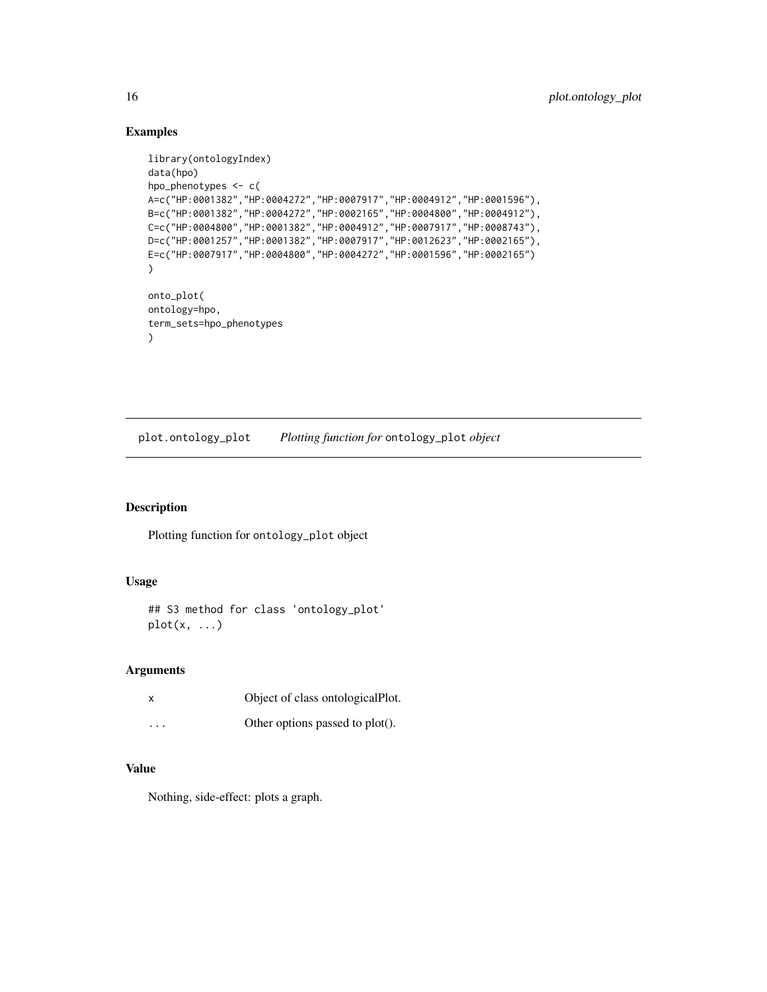## Examples

```
library(ontologyIndex)
data(hpo)
hpo_phenotypes <- c(
A=c("HP:0001382","HP:0004272","HP:0007917","HP:0004912","HP:0001596"),
B=c("HP:0001382","HP:0004272","HP:0002165","HP:0004800","HP:0004912"),
C=c("HP:0004800","HP:0001382","HP:0004912","HP:0007917","HP:0008743"),
D=c("HP:0001257","HP:0001382","HP:0007917","HP:0012623","HP:0002165"),
E=c("HP:0007917","HP:0004800","HP:0004272","HP:0001596","HP:0002165")
)
onto_plot(
ontology=hpo,
term_sets=hpo_phenotypes
)
```
plot.ontology\_plot *Plotting function for* ontology\_plot *object*

## Description

Plotting function for ontology\_plot object

#### Usage

```
## S3 method for class 'ontology_plot'
plot(x, \ldots)
```
#### Arguments

| x       | Object of class ontological Plot. |
|---------|-----------------------------------|
| $\cdot$ | Other options passed to plot().   |

## Value

Nothing, side-effect: plots a graph.

<span id="page-15-0"></span>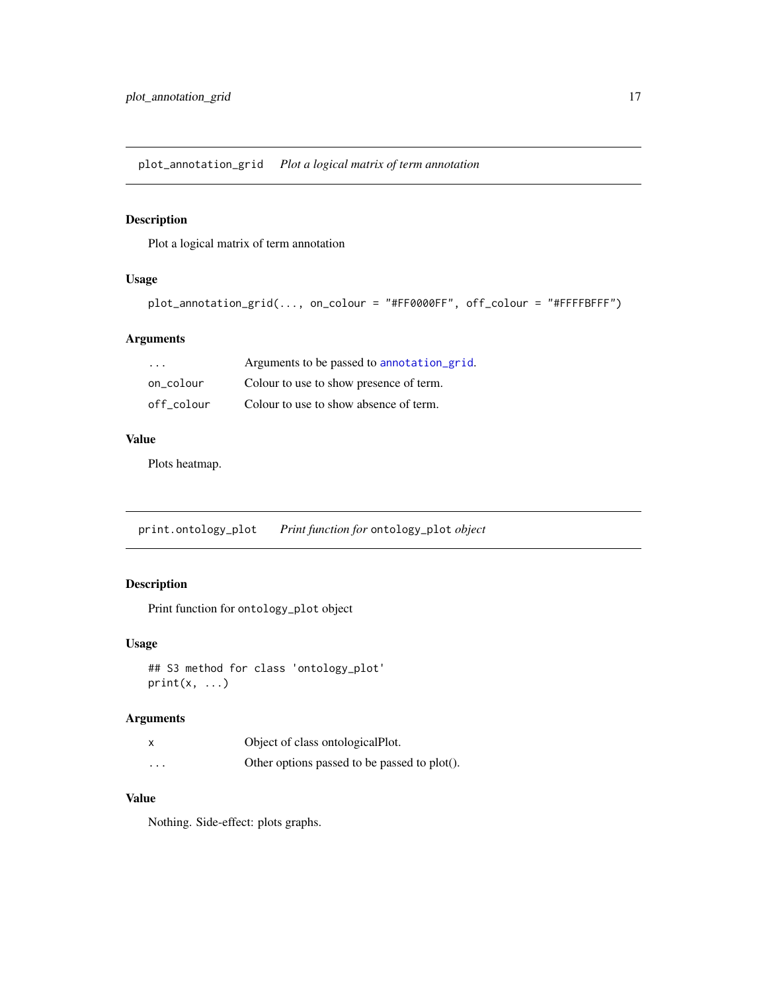<span id="page-16-0"></span>plot\_annotation\_grid *Plot a logical matrix of term annotation*

## Description

Plot a logical matrix of term annotation

## Usage

```
plot_annotation_grid(..., on_colour = "#FF0000FF", off_colour = "#FFFFBFFF")
```
## Arguments

| .          | Arguments to be passed to annotation grid. |
|------------|--------------------------------------------|
| on colour  | Colour to use to show presence of term.    |
| off colour | Colour to use to show absence of term.     |

#### Value

Plots heatmap.

print.ontology\_plot *Print function for* ontology\_plot *object*

## Description

Print function for ontology\_plot object

#### Usage

```
## S3 method for class 'ontology_plot'
print(x, \ldots)
```
#### Arguments

|          | Object of class ontological Plot.            |
|----------|----------------------------------------------|
| $\cdots$ | Other options passed to be passed to plot(). |

## Value

Nothing. Side-effect: plots graphs.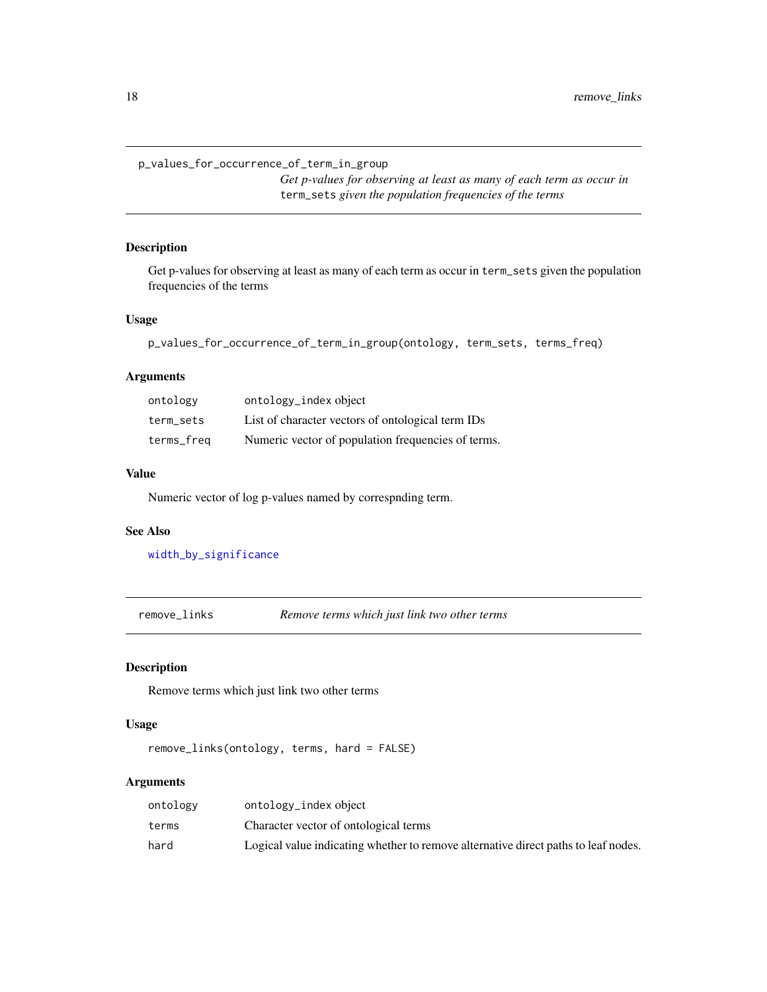<span id="page-17-0"></span>p\_values\_for\_occurrence\_of\_term\_in\_group

*Get p-values for observing at least as many of each term as occur in* term\_sets *given the population frequencies of the terms*

## Description

Get p-values for observing at least as many of each term as occur in term\_sets given the population frequencies of the terms

#### Usage

p\_values\_for\_occurrence\_of\_term\_in\_group(ontology, term\_sets, terms\_freq)

#### Arguments

| ontology   | ontology_index object                              |
|------------|----------------------------------------------------|
| term sets  | List of character vectors of ontological term IDs  |
| terms_freq | Numeric vector of population frequencies of terms. |

## Value

Numeric vector of log p-values named by correspnding term.

#### See Also

[width\\_by\\_significance](#page-21-1)

remove\_links *Remove terms which just link two other terms*

## Description

Remove terms which just link two other terms

## Usage

```
remove_links(ontology, terms, hard = FALSE)
```

| ontology | ontology_index object                                                              |
|----------|------------------------------------------------------------------------------------|
| terms    | Character vector of ontological terms                                              |
| hard     | Logical value indicating whether to remove alternative direct paths to leaf nodes. |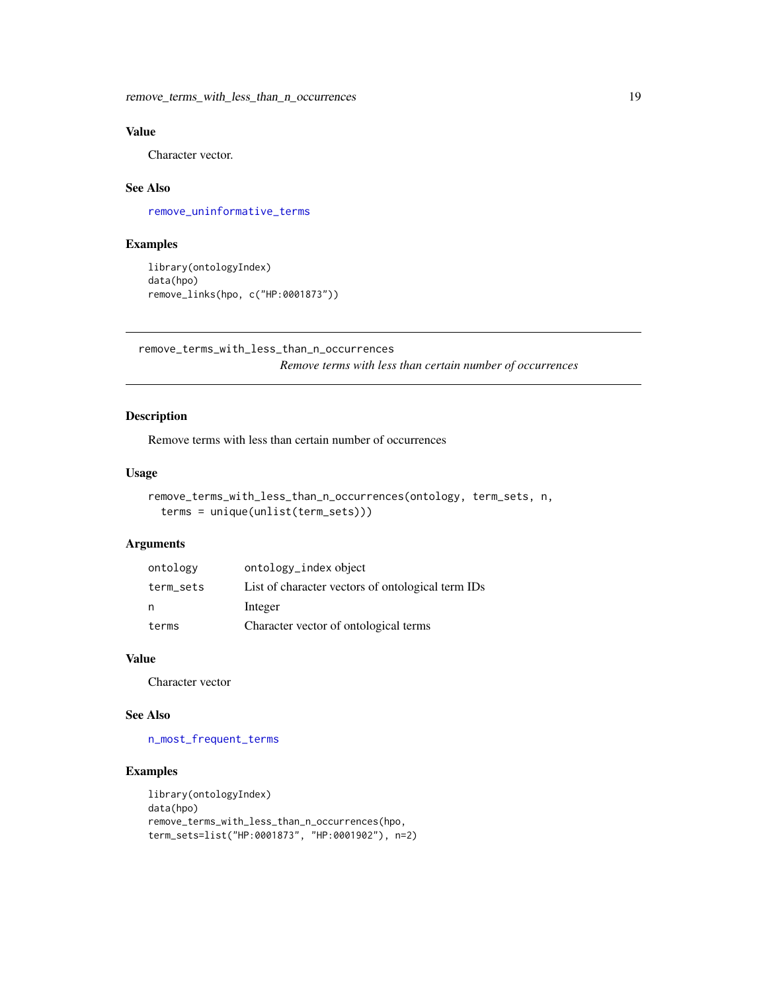## <span id="page-18-0"></span>Value

Character vector.

## See Also

[remove\\_uninformative\\_terms](#page-19-1)

#### Examples

```
library(ontologyIndex)
data(hpo)
remove_links(hpo, c("HP:0001873"))
```
<span id="page-18-1"></span>remove\_terms\_with\_less\_than\_n\_occurrences *Remove terms with less than certain number of occurrences*

## Description

Remove terms with less than certain number of occurrences

#### Usage

```
remove_terms_with_less_than_n_occurrences(ontology, term_sets, n,
 terms = unique(unlist(term_sets)))
```
#### Arguments

| ontology  | ontology_index object                             |
|-----------|---------------------------------------------------|
| term sets | List of character vectors of ontological term IDs |
| n,        | Integer                                           |
| terms     | Character vector of ontological terms             |

#### Value

Character vector

#### See Also

[n\\_most\\_frequent\\_terms](#page-11-1)

## Examples

```
library(ontologyIndex)
data(hpo)
remove_terms_with_less_than_n_occurrences(hpo,
term_sets=list("HP:0001873", "HP:0001902"), n=2)
```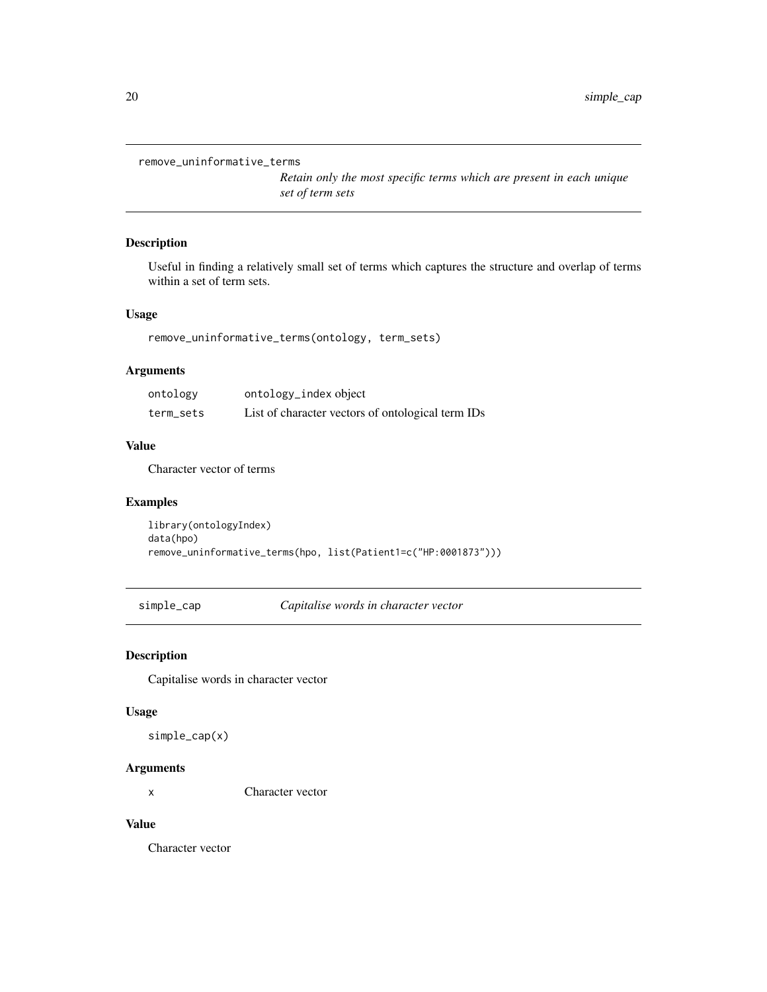```
remove_uninformative_terms
```
*Retain only the most specific terms which are present in each unique set of term sets*

## Description

Useful in finding a relatively small set of terms which captures the structure and overlap of terms within a set of term sets.

#### Usage

remove\_uninformative\_terms(ontology, term\_sets)

## Arguments

| ontology  | ontology_index object                             |
|-----------|---------------------------------------------------|
| term sets | List of character vectors of ontological term IDs |

#### Value

Character vector of terms

## Examples

```
library(ontologyIndex)
data(hpo)
remove_uninformative_terms(hpo, list(Patient1=c("HP:0001873")))
```
simple\_cap *Capitalise words in character vector*

#### Description

Capitalise words in character vector

#### Usage

simple\_cap(x)

#### Arguments

x Character vector

## Value

Character vector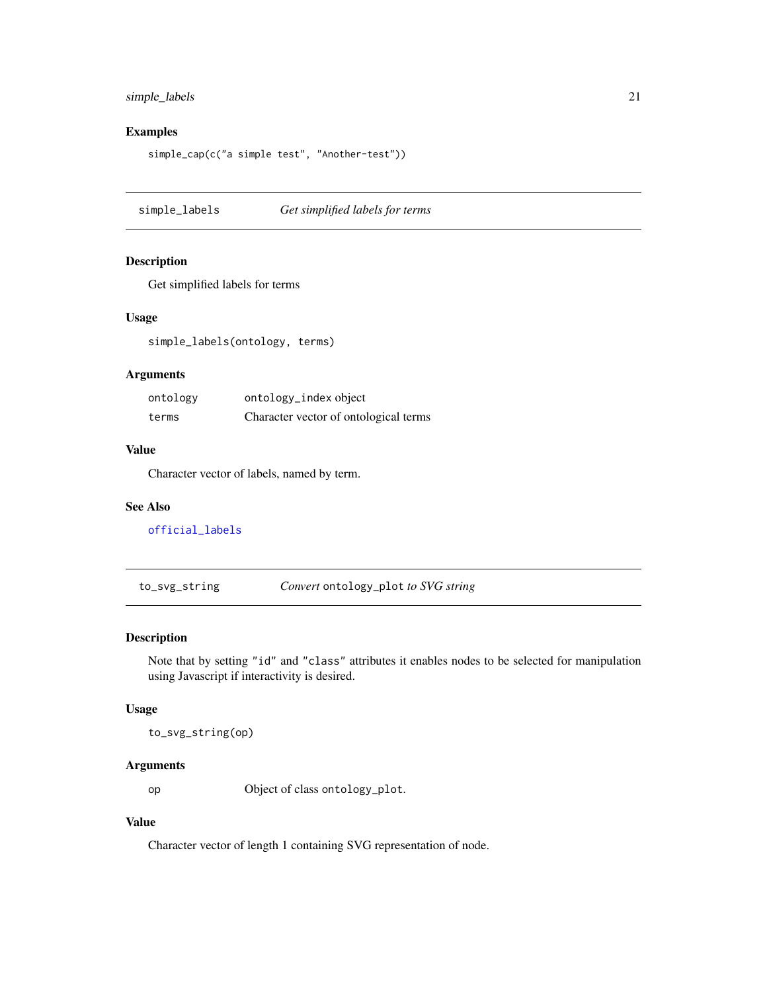## <span id="page-20-0"></span>simple\_labels 21

## Examples

```
simple_cap(c("a simple test", "Another-test"))
```
<span id="page-20-1"></span>simple\_labels *Get simplified labels for terms*

## Description

Get simplified labels for terms

## Usage

simple\_labels(ontology, terms)

### Arguments

| ontology | ontology_index object                 |
|----------|---------------------------------------|
| terms    | Character vector of ontological terms |

#### Value

Character vector of labels, named by term.

#### See Also

[official\\_labels](#page-12-1)

to\_svg\_string *Convert* ontology\_plot *to SVG string*

#### Description

Note that by setting "id" and "class" attributes it enables nodes to be selected for manipulation using Javascript if interactivity is desired.

## Usage

to\_svg\_string(op)

## Arguments

op Object of class ontology\_plot.

## Value

Character vector of length 1 containing SVG representation of node.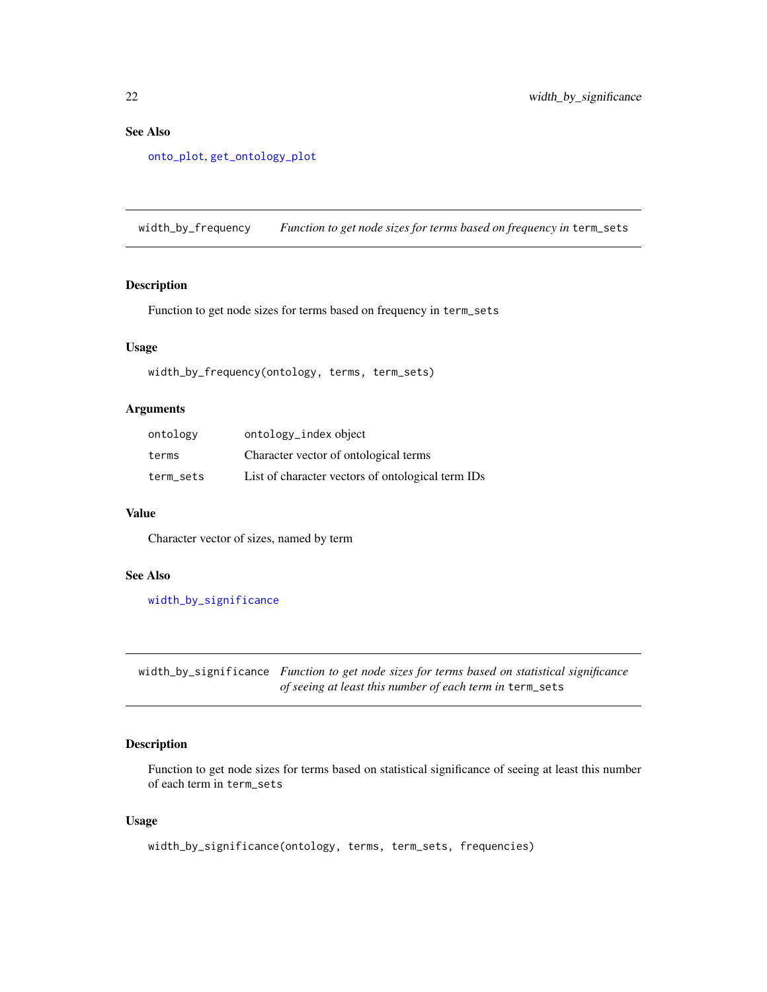## <span id="page-21-0"></span>See Also

[onto\\_plot](#page-13-1), [get\\_ontology\\_plot](#page-7-2)

<span id="page-21-2"></span>width\_by\_frequency *Function to get node sizes for terms based on frequency in* term\_sets

#### Description

Function to get node sizes for terms based on frequency in term\_sets

#### Usage

width\_by\_frequency(ontology, terms, term\_sets)

#### Arguments

| ontology  | ontology_index object                             |
|-----------|---------------------------------------------------|
| terms     | Character vector of ontological terms             |
| term sets | List of character vectors of ontological term IDs |

#### Value

Character vector of sizes, named by term

#### See Also

[width\\_by\\_significance](#page-21-1)

<span id="page-21-1"></span>width\_by\_significance *Function to get node sizes for terms based on statistical significance of seeing at least this number of each term in* term\_sets

## Description

Function to get node sizes for terms based on statistical significance of seeing at least this number of each term in term\_sets

## Usage

```
width_by_significance(ontology, terms, term_sets, frequencies)
```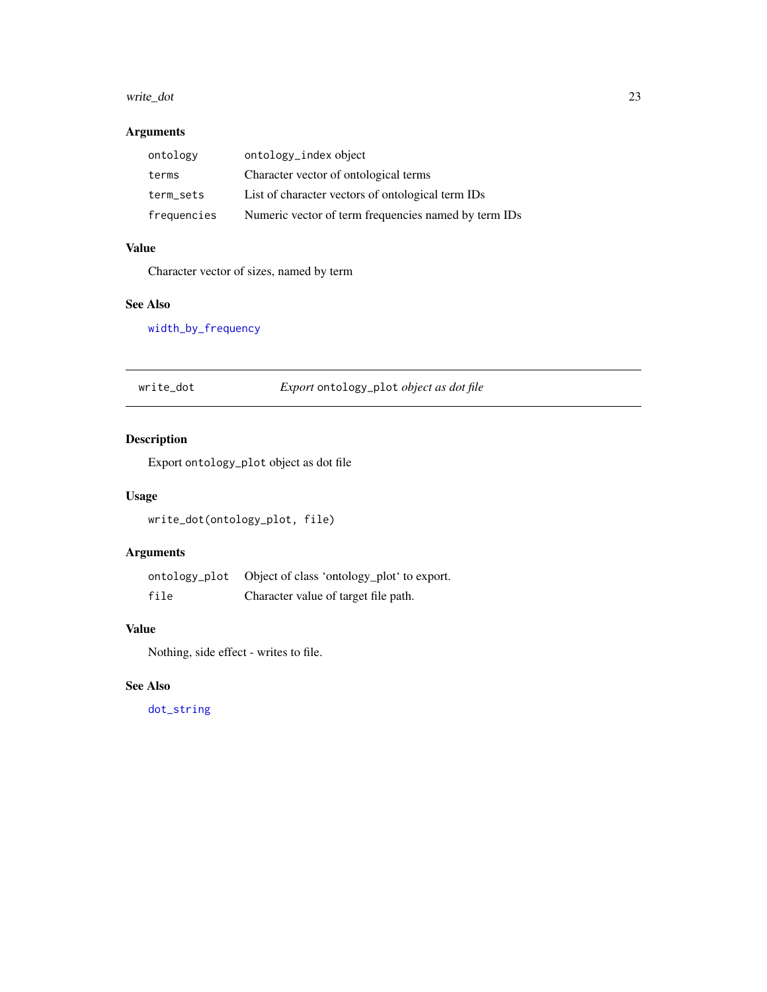#### <span id="page-22-0"></span>write\_dot 23

## Arguments

| ontology    | ontology_index object                                |
|-------------|------------------------------------------------------|
| terms       | Character vector of ontological terms                |
| term_sets   | List of character vectors of ontological term IDs    |
| frequencies | Numeric vector of term frequencies named by term IDs |

## Value

Character vector of sizes, named by term

## See Also

[width\\_by\\_frequency](#page-21-2)

<span id="page-22-1"></span>write\_dot *Export* ontology\_plot *object as dot file*

## Description

Export ontology\_plot object as dot file

## Usage

write\_dot(ontology\_plot, file)

## Arguments

|      | ontology_plot Object of class 'ontology_plot' to export. |
|------|----------------------------------------------------------|
| file | Character value of target file path.                     |

## Value

Nothing, side effect - writes to file.

## See Also

[dot\\_string](#page-5-2)